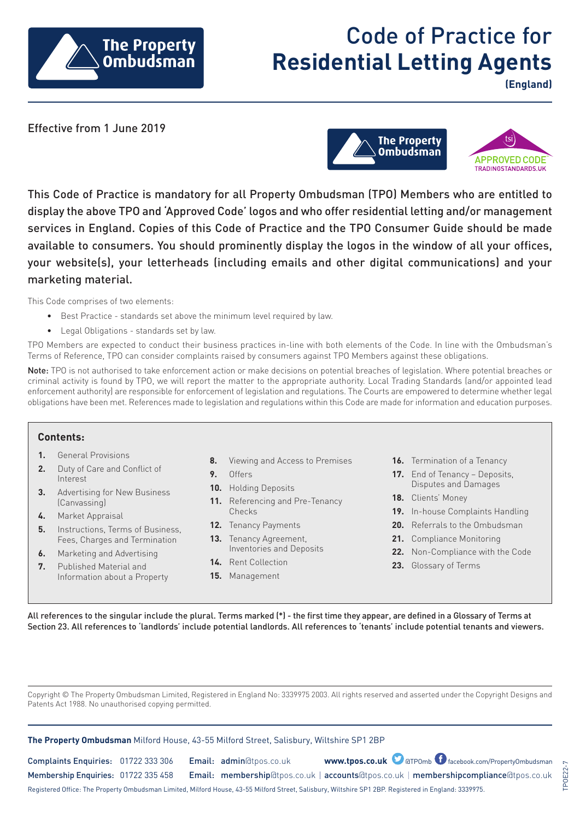

# Code of Practice for **Residential Letting Agents**

**(England)**

Effective from 1 June 2019



This Code of Practice is mandatory for all Property Ombudsman (TPO) Members who are entitled to display the above TPO and 'Approved Code' logos and who offer residential letting and/or management services in England. Copies of this Code of Practice and the TPO Consumer Guide should be made available to consumers. You should prominently display the logos in the window of all your offices, your website(s), your letterheads (including emails and other digital communications) and your marketing material.

This Code comprises of two elements:

- Best Practice standards set above the minimum level required by law.
- Legal Obligations standards set by law.

TPO Members are expected to conduct their business practices in-line with both elements of the Code. In line with the Ombudsman's Terms of Reference, TPO can consider complaints raised by consumers against TPO Members against these obligations.

Note: TPO is not authorised to take enforcement action or make decisions on potential breaches of legislation. Where potential breaches or criminal activity is found by TPO, we will report the matter to the appropriate authority. Local Trading Standards (and/or appointed lead enforcement authority) are responsible for enforcement of legislation and regulations. The Courts are empowered to determine whether legal obligations have been met. References made to legislation and regulations within this Code are made for information and education purposes.

## **Contents:**

- **1.** General Provisions
- **2.** Duty of Care and Conflict of Interest
- **3.** Advertising for New Business (Canvassing)
- **4.** Market Appraisal
- **5.** Instructions, Terms of Business, Fees, Charges and Termination
- **6.** Marketing and Advertising
- **7.** Published Material and Information about a Property
- **8.** Viewing and Access to Premises
- **9.** Offers
- **10.** Holding Deposits
- **11.** Referencing and Pre-Tenancy Checks
- **12.** Tenancy Payments
- **13.** Tenancy Agreement, Inventories and Deposits
- **14.** Rent Collection
- **15.** Management
- **16.** Termination of a Tenancy
- **17.** End of Tenancy Deposits, Disputes and Damages
- **18.** Clients' Money
- **19.** In-house Complaints Handling
- **20.** Referrals to the Ombudsman
- **21.** Compliance Monitoring
- **22.** Non-Compliance with the Code

TPOE22-7

**POE22-**

**23.** Glossary of Terms

All references to the singular include the plural. Terms marked (\*) - the first time they appear, are defined in a Glossary of Terms at Section 23. All references to 'landlords' include potential landlords. All references to 'tenants' include potential tenants and viewers.

Copyright © The Property Ombudsman Limited, Registered in England No: 3339975 2003. All rights reserved and asserted under the Copyright Designs and Patents Act 1988. No unauthorised copying permitted.

| <b>The Property Ombudsman</b> Milford House, 43-55 Milford Street, Salisbury, Wiltshire SP1 2BP                                                       |  |  |                         |  |                                                                                      |
|-------------------------------------------------------------------------------------------------------------------------------------------------------|--|--|-------------------------|--|--------------------------------------------------------------------------------------|
| Complaints Enquiries: 01722 333 306                                                                                                                   |  |  | Email: admin@tpos.co.uk |  | www.tpos.co.uk O @TPOmb O facebook.com/PropertyOmbudsman                             |
| Membership Enquiries: 01722 335 458                                                                                                                   |  |  |                         |  | Email: membership@tpos.co.uk   accounts@tpos.co.uk   membershipcompliance@tpos.co.uk |
| Registered Office: The Property Ombudsman Limited, Milford House, 43-55 Milford Street, Salisbury, Wiltshire SP1 2BP. Registered in England: 3339975. |  |  |                         |  |                                                                                      |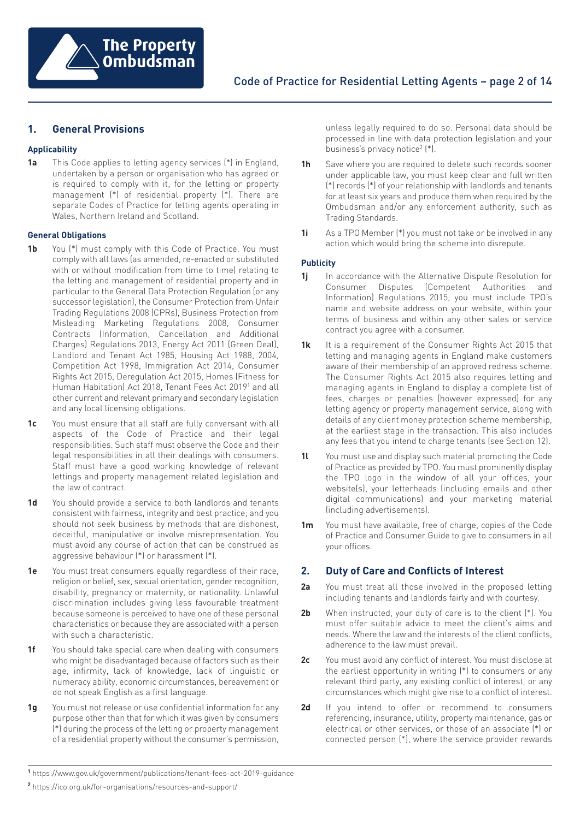

# **1. General Provisions**

## **Applicability**

**1a** This Code applies to letting agency services (\*) in England, undertaken by a person or organisation who has agreed or is required to comply with it, for the letting or property management (\*) of residential property (\*). There are separate Codes of Practice for letting agents operating in Wales, Northern Ireland and Scotland.

#### **General Obligations**

- **1b** You (\*) must comply with this Code of Practice. You must comply with all laws (as amended, re-enacted or substituted with or without modification from time to time) relating to the letting and management of residential property and in particular to the General Data Protection Regulation (or any successor legislation), the Consumer Protection from Unfair Trading Regulations 2008 (CPRs), Business Protection from Misleading Marketing Regulations 2008, Consumer Contracts (Information, Cancellation and Additional Charges) Regulations 2013, Energy Act 2011 (Green Deal), Landlord and Tenant Act 1985, Housing Act 1988, 2004, Competition Act 1998, Immigration Act 2014, Consumer Rights Act 2015, Deregulation Act 2015, Homes (Fitness for Human Habitation) Act 2018, Tenant Fees Act 201[91](https://www.gov.uk/government/publications/tenant-fees-act-2019-guidance) and all other current and relevant primary and secondary legislation and any local licensing obligations.
- **1c** You must ensure that all staff are fully conversant with all aspects of the Code of Practice and their legal responsibilities. Such staff must observe the Code and their legal responsibilities in all their dealings with consumers. Staff must have a good working knowledge of relevant lettings and property management related legislation and the law of contract.
- **1d** You should provide a service to both landlords and tenants consistent with fairness, integrity and best practice; and you should not seek business by methods that are dishonest, deceitful, manipulative or involve misrepresentation. You must avoid any course of action that can be construed as aggressive behaviour (\*) or harassment (\*).
- **1e** You must treat consumers equally regardless of their race, religion or belief, sex, sexual orientation, gender recognition, disability, pregnancy or maternity, or nationality. Unlawful discrimination includes giving less favourable treatment because someone is perceived to have one of these personal characteristics or because they are associated with a person with such a characteristic.
- **1f** You should take special care when dealing with consumers who might be disadvantaged because of factors such as their age, infirmity, lack of knowledge, lack of linguistic or numeracy ability, economic circumstances, bereavement or do not speak English as a first language.
- **1g** You must not release or use confidential information for any purpose other than that for which it was given by consumers (\*) during the process of the letting or property management of a residential property without the consumer's permission,

unless legally required to do so. Personal data should be processed in line with data protection legislation and your business's privacy notice2 (\*).

- **1h** Save where you are required to delete such records sooner under applicable law, you must keep clear and full written (\*) records (\*) of your relationship with landlords and tenants for at least six years and produce them when required by the Ombudsman and/or any enforcement authority, such as Trading Standards.
- **1i** As a TPO Member (\*) you must not take or be involved in any action which would bring the scheme into disrepute.

## **Publicity**

- **1j** In accordance with the Alternative Dispute Resolution for Consumer Disputes (Competent Authorities and Information) Regulations 2015, you must include TPO's name and website address on your website, within your terms of business and within any other sales or service contract you agree with a consumer.
- 1k It is a requirement of the Consumer Rights Act 2015 that letting and managing agents in England make customers aware of their membership of an approved redress scheme. The Consumer Rights Act 2015 also requires letting and managing agents in England to display a complete list of fees, charges or penalties (however expressed) for any letting agency or property management service, along with details of any client money protection scheme membership, at the earliest stage in the transaction. This also includes any fees that you intend to charge tenants (see Section 12).
- **1l** You must use and display such material promoting the Code of Practice as provided by TPO. You must prominently display the TPO logo in the window of all your offices, your website(s), your letterheads (including emails and other digital communications) and your marketing material (including advertisements).
- **1m** You must have available, free of charge, copies of the Code of Practice and Consumer Guide to give to consumers in all your offices.

# **2. Duty of Care and Conflicts of Interest**

- **2a** You must treat all those involved in the proposed letting including tenants and landlords fairly and with courtesy.
- **2b** When instructed, your duty of care is to the client (\*). You must offer suitable advice to meet the client's aims and needs. Where the law and the interests of the client conflicts, adherence to the law must prevail.
- **2c** You must avoid any conflict of interest. You must disclose at the earliest opportunity in writing (\*) to consumers or any relevant third party, any existing conflict of interest, or any circumstances which might give rise to a conflict of interest.
- 2d If you intend to offer or recommend to consumers referencing, insurance, utility, property maintenance, gas or electrical or other services, or those of an associate (\*) or connected person (\*), where the service provider rewards

**<sup>1</sup>** <https://www.gov.uk/government/publications/tenant-fees-act-2019-guidance>

**<sup>2</sup>** <https://ico.org.uk/for-organisations/resources-and-support/>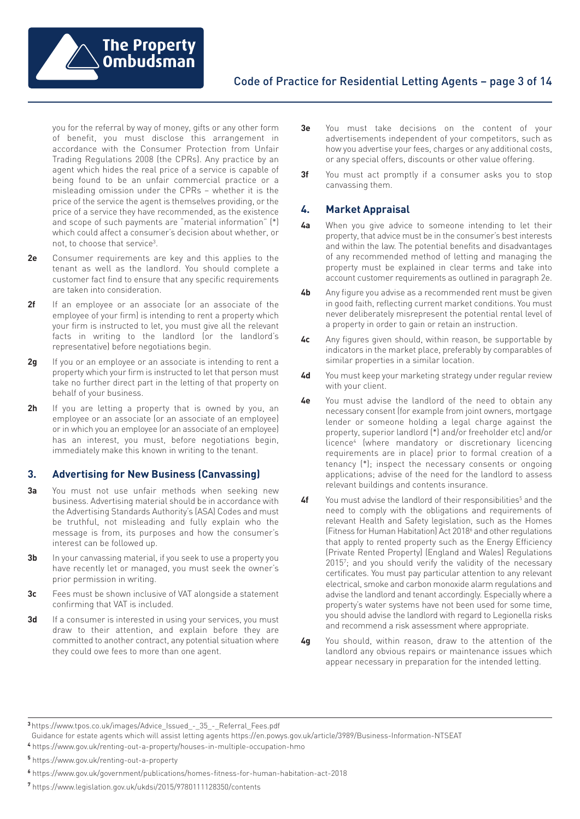

you for the referral by way of money, gifts or any other form of benefit, you must disclose this arrangement in accordance with the Consumer Protection from Unfair Trading Regulations 2008 (the CPRs). Any practice by an agent which hides the real price of a service is capable of being found to be an unfair commercial practice or a misleading omission under the CPRs – whether it is the price of the service the agent is themselves providing, or the price of a service they have recommended, as the existence and scope of such payments are "material information" (\*) which could affect a consumer's decision about whether, or not, to choose that service3.

- **2e** Consumer requirements are key and this applies to the tenant as well as the landlord. You should complete a customer fact find to ensure that any specific requirements are taken into consideration.
- **2f** If an employee or an associate (or an associate of the employee of your firm) is intending to rent a property which your firm is instructed to let, you must give all the relevant facts in writing to the landlord (or the landlord's representative) before negotiations begin.
- **2g** If you or an employee or an associate is intending to rent a property which your firm is instructed to let that person must take no further direct part in the letting of that property on behalf of your business.
- **2h** If you are letting a property that is owned by you, an employee or an associate (or an associate of an employee) or in which you an employee (or an associate of an employee) has an interest, you must, before negotiations begin, immediately make this known in writing to the tenant.

## **3. Advertising for New Business (Canvassing)**

- **3a** You must not use unfair methods when seeking new business. Advertising material should be in accordance with the Advertising Standards Authority's (ASA) Codes and must be truthful, not misleading and fully explain who the message is from, its purposes and how the consumer's interest can be followed up.
- **3b** In your canvassing material, if you seek to use a property you have recently let or managed, you must seek the owner's prior permission in writing.
- **3c** Fees must be shown inclusive of VAT alongside a statement confirming that VAT is included.
- **3d** If a consumer is interested in using your services, you must draw to their attention, and explain before they are committed to another contract, any potential situation where they could owe fees to more than one agent.
- **3e** You must take decisions on the content of your advertisements independent of your competitors, such as how you advertise your fees, charges or any additional costs, or any special offers, discounts or other value offering.
- **3f** You must act promptly if a consumer asks you to stop canvassing them.

### **4. Market Appraisal**

- **4a** When you give advice to someone intending to let their property, that advice must be in the consumer's best interests and within the law. The potential benefits and disadvantages of any recommended method of letting and managing the property must be explained in clear terms and take into account customer requirements as outlined in paragraph 2e.
- **4b** Any figure you advise as a recommended rent must be given in good faith, reflecting current market conditions. You must never deliberately misrepresent the potential rental level of a property in order to gain or retain an instruction.
- **4c** Any figures given should, within reason, be supportable by indicators in the market place, preferably by comparables of similar properties in a similar location.
- **4d** You must keep your marketing strategy under regular review with your client.
- **4e** You must advise the landlord of the need to obtain any necessary consent (for example from joint owners, mortgage lender or someone holding a legal charge against the property, superior landlord (\*) and/or freeholder etc) and/or licence4 (where mandatory or discretionary licencing requirements are in place) prior to formal creation of a tenancy (\*); inspect the necessary consents or ongoing applications; advise of the need for the landlord to assess relevant buildings and contents insurance.
- **4f** You must advise the landlord of their responsibilities<sup>5</sup> and the need to comply with the obligations and requirements of relevant Health and Safety legislation, such as the Homes (Fitness for Human Habitation) Act 20186 and other regulations that apply to rented property such as the Energy Efficiency (Private Rented Property) (England and Wales) Regulations 2015<sup>7</sup>; and you should verify the validity of the necessary certificates. You must pay particular attention to any relevant electrical, smoke and carbon monoxide alarm regulations and advise the landlord and tenant accordingly. Especially where a property's water systems have not been used for some time, you should advise the landlord with regard to Legionella risks and recommend a risk assessment where appropriate.
- **4g** You should, within reason, draw to the attention of the landlord any obvious repairs or maintenance issues which appear necessary in preparation for the intended letting.

**<sup>3</sup>** [https://www.tpos.co.uk/images/Advice\\_Issued\\_-\\_35\\_-\\_Referral\\_Fees.pdf](https://www.tpos.co.uk/images/Advice_Issued_-_35_-_Referral_Fees.pdf)

**<sup>7</sup>** <https://www.legislation.gov.uk/ukdsi/2015/9780111128350/contents>

Guidance for estate agents which will assist letting agents [https://en.powys.gov.uk/article/3989/Business-Information-NTSEAT](https://www.tpos.co.uk/images/Advice_Issued_-_35_-_Referral_Fees.pdf)

**<sup>4</sup>** <https://www.gov.uk/renting-out-a-property/houses-in-multiple-occupation-hmo>

**<sup>5</sup>** <https://www.gov.uk/renting-out-a-property>

**<sup>6</sup>** <https://www.gov.uk/government/publications/homes-fitness-for-human-habitation-act-2018>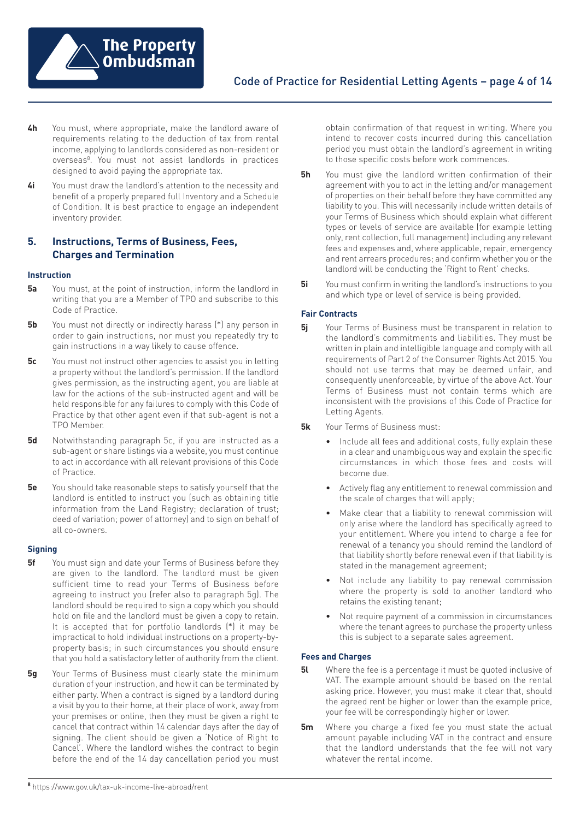

- **4h** You must, where appropriate, make the landlord aware of requirements relating to the deduction of tax from rental income, applying to landlords considered as non-resident or overseas8. You must not assist landlords in practices designed to avoid paying the appropriate tax.
- **4i** You must draw the landlord's attention to the necessity and benefit of a properly prepared full Inventory and a Schedule of Condition. It is best practice to engage an independent inventory provider.

# **5. Instructions, Terms of Business, Fees, Charges and Termination**

#### **Instruction**

- **5a** You must, at the point of instruction, inform the landlord in writing that you are a Member of TPO and subscribe to this Code of Practice.
- **5b** You must not directly or indirectly harass (\*) any person in order to gain instructions, nor must you repeatedly try to gain instructions in a way likely to cause offence.
- **5c** You must not instruct other agencies to assist you in letting a property without the landlord's permission. If the landlord gives permission, as the instructing agent, you are liable at law for the actions of the sub-instructed agent and will be held responsible for any failures to comply with this Code of Practice by that other agent even if that sub-agent is not a TPO Member.
- **5d** Notwithstanding paragraph 5c, if you are instructed as a sub-agent or share listings via a website, you must continue to act in accordance with all relevant provisions of this Code of Practice.
- **5e** You should take reasonable steps to satisfy yourself that the landlord is entitled to instruct you (such as obtaining title information from the Land Registry; declaration of trust; deed of variation; power of attorney) and to sign on behalf of all co-owners.

#### **Signing**

- **5f** You must sign and date your Terms of Business before they are given to the landlord. The landlord must be given sufficient time to read your Terms of Business before agreeing to instruct you (refer also to paragraph 5g). The landlord should be required to sign a copy which you should hold on file and the landlord must be given a copy to retain. It is accepted that for portfolio landlords (\*) it may be impractical to hold individual instructions on a property-byproperty basis; in such circumstances you should ensure that you hold a satisfactory letter of authority from the client.
- **5g** Your Terms of Business must clearly state the minimum duration of your instruction, and how it can be terminated by either party. When a contract is signed by a landlord during a visit by you to their home, at their place of work, away from your premises or online, then they must be given a right to cancel that contract within 14 calendar days after the day of signing. The client should be given a 'Notice of Right to Cancel'. Where the landlord wishes the contract to begin before the end of the 14 day cancellation period you must

obtain confirmation of that request in writing. Where you intend to recover costs incurred during this cancellation period you must obtain the landlord's agreement in writing to those specific costs before work commences.

- **5h** You must give the landlord written confirmation of their agreement with you to act in the letting and/or management of properties on their behalf before they have committed any liability to you. This will necessarily include written details of your Terms of Business which should explain what different types or levels of service are available (for example letting only, rent collection, full management) including any relevant fees and expenses and, where applicable, repair, emergency and rent arrears procedures; and confirm whether you or the landlord will be conducting the 'Right to Rent' checks.
- **5i** You must confirm in writing the landlord's instructions to you and which type or level of service is being provided.

## **Fair Contracts**

- **5j** Your Terms of Business must be transparent in relation to the landlord's commitments and liabilities. They must be written in plain and intelligible language and comply with all requirements of Part 2 of the Consumer Rights Act 2015. You should not use terms that may be deemed unfair, and consequently unenforceable, by virtue of the above Act. Your Terms of Business must not contain terms which are inconsistent with the provisions of this Code of Practice for Letting Agents.
- **5k** Your Terms of Business must:
	- Include all fees and additional costs, fully explain these in a clear and unambiguous way and explain the specific circumstances in which those fees and costs will become due.
	- Actively flag any entitlement to renewal commission and the scale of charges that will apply;
	- Make clear that a liability to renewal commission will only arise where the landlord has specifically agreed to your entitlement. Where you intend to charge a fee for renewal of a tenancy you should remind the landlord of that liability shortly before renewal even if that liability is stated in the management agreement;
	- Not include any liability to pay renewal commission where the property is sold to another landlord who retains the existing tenant;
	- Not require payment of a commission in circumstances where the tenant agrees to purchase the property unless this is subject to a separate sales agreement.

## **Fees and Charges**

- **5l** Where the fee is a percentage it must be quoted inclusive of VAT. The example amount should be based on the rental asking price. However, you must make it clear that, should the agreed rent be higher or lower than the example price, your fee will be correspondingly higher or lower.
- **5m** Where you charge a fixed fee you must state the actual amount payable including VAT in the contract and ensure that the landlord understands that the fee will not vary whatever the rental income.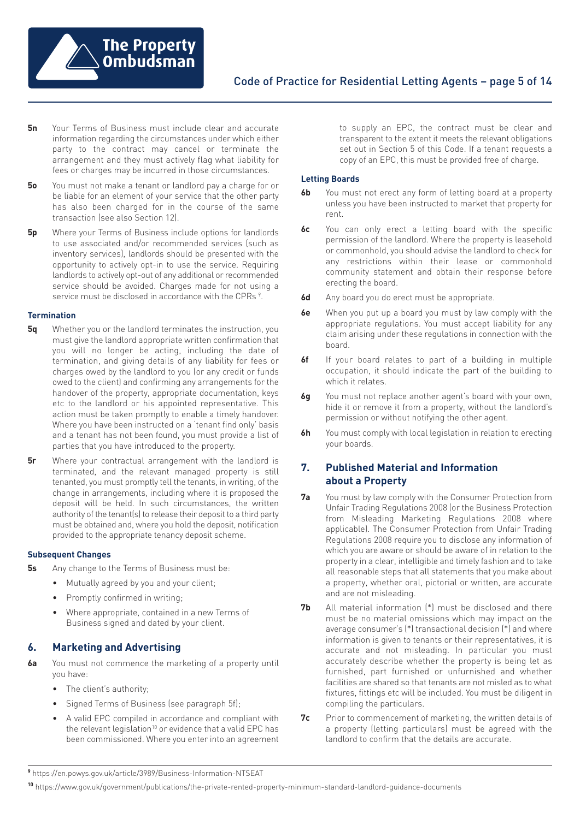

- **5n** Your Terms of Business must include clear and accurate information regarding the circumstances under which either party to the contract may cancel or terminate the arrangement and they must actively flag what liability for fees or charges may be incurred in those circumstances.
- **5o** You must not make a tenant or landlord pay a charge for or be liable for an element of your service that the other party has also been charged for in the course of the same transaction (see also Section 12).
- **5p** Where your Terms of Business include options for landlords to use associated and/or recommended services (such as inventory services), landlords should be presented with the opportunity to actively opt-in to use the service. Requiring landlords to actively opt-out of any additional or recommended service should be avoided. Charges made for not using a service must be disclosed in accordance with the CPRs <sup>9</sup>.

#### **Termination**

- **5q** Whether you or the landlord terminates the instruction, you must give the landlord appropriate written confirmation that you will no longer be acting, including the date of termination, and giving details of any liability for fees or charges owed by the landlord to you (or any credit or funds owed to the client) and confirming any arrangements for the handover of the property, appropriate documentation, keys etc to the landlord or his appointed representative. This action must be taken promptly to enable a timely handover. Where you have been instructed on a 'tenant find only' basis and a tenant has not been found, you must provide a list of parties that you have introduced to the property.
- **5r** Where your contractual arrangement with the landlord is terminated, and the relevant managed property is still tenanted, you must promptly tell the tenants, in writing, of the change in arrangements, including where it is proposed the deposit will be held. In such circumstances, the written authority of the tenant(s) to release their deposit to a third party must be obtained and, where you hold the deposit, notification provided to the appropriate tenancy deposit scheme.

#### **Subsequent Changes**

- **5s** Any change to the Terms of Business must be:
	- Mutually agreed by you and your client;
	- Promptly confirmed in writing;
	- Where appropriate, contained in a new Terms of Business signed and dated by your client.

## **6. Marketing and Advertising**

- **6a** You must not commence the marketing of a property until you have:
	- The client's authority;
	- Signed Terms of Business (see paragraph 5f);
	- A valid EPC compiled in accordance and compliant with the relevant legislation<sup>10</sup> or evidence that a valid EPC has been commissioned. Where you enter into an agreement

to supply an EPC, the contract must be clear and transparent to the extent it meets the relevant obligations set out in Section 5 of this Code. If a tenant requests a copy of an EPC, this must be provided free of charge.

#### **Letting Boards**

- **6b** You must not erect any form of letting board at a property unless you have been instructed to market that property for rent.
- **6c** You can only erect a letting board with the specific permission of the landlord. Where the property is leasehold or commonhold, you should advise the landlord to check for any restrictions within their lease or commonhold community statement and obtain their response before erecting the board.
- **6d** Any board you do erect must be appropriate.
- **6e** When you put up a board you must by law comply with the appropriate regulations. You must accept liability for any claim arising under these regulations in connection with the board.
- **6f** If your board relates to part of a building in multiple occupation, it should indicate the part of the building to which it relates.
- **6g** You must not replace another agent's board with your own, hide it or remove it from a property, without the landlord's permission or without notifying the other agent.
- **6h** You must comply with local legislation in relation to erecting your boards.

# **7. Published Material and Information about a Property**

- **7a** You must by law comply with the Consumer Protection from Unfair Trading Regulations 2008 (or the Business Protection from Misleading Marketing Regulations 2008 where applicable). The Consumer Protection from Unfair Trading Regulations 2008 require you to disclose any information of which you are aware or should be aware of in relation to the property in a clear, intelligible and timely fashion and to take all reasonable steps that all statements that you make about a property, whether oral, pictorial or written, are accurate and are not misleading.
- **7b** All material information (\*) must be disclosed and there must be no material omissions which may impact on the average consumer's (\*) transactional decision (\*) and where information is given to tenants or their representatives, it is accurate and not misleading. In particular you must accurately describe whether the property is being let as furnished, part furnished or unfurnished and whether facilities are shared so that tenants are not misled as to what fixtures, fittings etc will be included. You must be diligent in compiling the particulars.
- **7c** Prior to commencement of marketing, the written details of a property (letting particulars) must be agreed with the landlord to confirm that the details are accurate.

**<sup>9</sup>** <https://en.powys.gov.uk/article/3989/Business-Information-NTSEAT>

```
10 https://www.gov.uk/government/publications/the-private-rented-property-minimum-standard-landlord-guidance-documents
```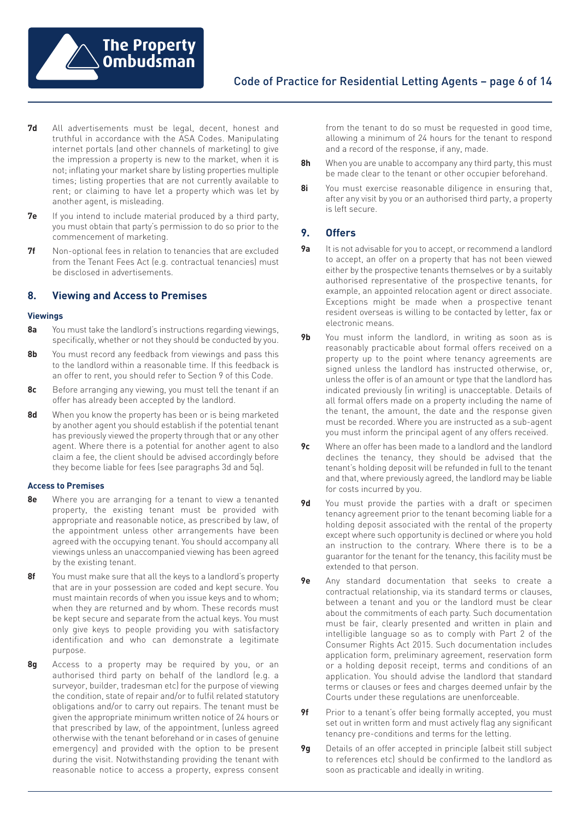

- **7d** All advertisements must be legal, decent, honest and truthful in accordance with the ASA Codes. Manipulating internet portals (and other channels of marketing) to give the impression a property is new to the market, when it is not; inflating your market share by listing properties multiple times; listing properties that are not currently available to rent; or claiming to have let a property which was let by another agent, is misleading.
- **7e** If you intend to include material produced by a third party, you must obtain that party's permission to do so prior to the commencement of marketing.
- **7f** Non-optional fees in relation to tenancies that are excluded from the Tenant Fees Act (e.g. contractual tenancies) must be disclosed in advertisements.

## **8. Viewing and Access to Premises**

#### **Viewings**

- **8a** You must take the landlord's instructions regarding viewings, specifically, whether or not they should be conducted by you.
- **8b** You must record any feedback from viewings and pass this to the landlord within a reasonable time. If this feedback is an offer to rent, you should refer to Section 9 of this Code.
- **8c** Before arranging any viewing, you must tell the tenant if an offer has already been accepted by the landlord.
- **8d** When you know the property has been or is being marketed by another agent you should establish if the potential tenant has previously viewed the property through that or any other agent. Where there is a potential for another agent to also claim a fee, the client should be advised accordingly before they become liable for fees (see paragraphs 3d and 5q).

#### **Access to Premises**

- **8e** Where you are arranging for a tenant to view a tenanted property, the existing tenant must be provided with appropriate and reasonable notice, as prescribed by law, of the appointment unless other arrangements have been agreed with the occupying tenant. You should accompany all viewings unless an unaccompanied viewing has been agreed by the existing tenant.
- **8f** You must make sure that all the keys to a landlord's property that are in your possession are coded and kept secure. You must maintain records of when you issue keys and to whom; when they are returned and by whom. These records must be kept secure and separate from the actual keys. You must only give keys to people providing you with satisfactory identification and who can demonstrate a legitimate purpose.
- **8g** Access to a property may be required by you, or an authorised third party on behalf of the landlord (e.g. a surveyor, builder, tradesman etc) for the purpose of viewing the condition, state of repair and/or to fulfil related statutory obligations and/or to carry out repairs. The tenant must be given the appropriate minimum written notice of 24 hours or that prescribed by law, of the appointment, (unless agreed otherwise with the tenant beforehand or in cases of genuine emergency) and provided with the option to be present during the visit. Notwithstanding providing the tenant with reasonable notice to access a property, express consent

from the tenant to do so must be requested in good time, allowing a minimum of 24 hours for the tenant to respond and a record of the response, if any, made.

- **8h** When you are unable to accompany any third party, this must be made clear to the tenant or other occupier beforehand.
- **8i** You must exercise reasonable diligence in ensuring that, after any visit by you or an authorised third party, a property is left secure.

## **9. Offers**

- **9a** It is not advisable for you to accept, or recommend a landlord to accept, an offer on a property that has not been viewed either by the prospective tenants themselves or by a suitably authorised representative of the prospective tenants, for example, an appointed relocation agent or direct associate. Exceptions might be made when a prospective tenant resident overseas is willing to be contacted by letter, fax or electronic means.
- **9b** You must inform the landlord, in writing as soon as is reasonably practicable about formal offers received on a property up to the point where tenancy agreements are signed unless the landlord has instructed otherwise, or, unless the offer is of an amount or type that the landlord has indicated previously (in writing) is unacceptable. Details of all formal offers made on a property including the name of the tenant, the amount, the date and the response given must be recorded. Where you are instructed as a sub-agent you must inform the principal agent of any offers received.
- **9c** Where an offer has been made to a landlord and the landlord declines the tenancy, they should be advised that the tenant's holding deposit will be refunded in full to the tenant and that, where previously agreed, the landlord may be liable for costs incurred by you.
- **9d** You must provide the parties with a draft or specimen tenancy agreement prior to the tenant becoming liable for a holding deposit associated with the rental of the property except where such opportunity is declined or where you hold an instruction to the contrary. Where there is to be a guarantor for the tenant for the tenancy, this facility must be extended to that person.
- **9e** Any standard documentation that seeks to create a contractual relationship, via its standard terms or clauses, between a tenant and you or the landlord must be clear about the commitments of each party. Such documentation must be fair, clearly presented and written in plain and intelligible language so as to comply with Part 2 of the Consumer Rights Act 2015. Such documentation includes application form, preliminary agreement, reservation form or a holding deposit receipt, terms and conditions of an application. You should advise the landlord that standard terms or clauses or fees and charges deemed unfair by the Courts under these regulations are unenforceable.
- **9f** Prior to a tenant's offer being formally accepted, you must set out in written form and must actively flag any significant tenancy pre-conditions and terms for the letting.
- **9g** Details of an offer accepted in principle (albeit still subject to references etc) should be confirmed to the landlord as soon as practicable and ideally in writing.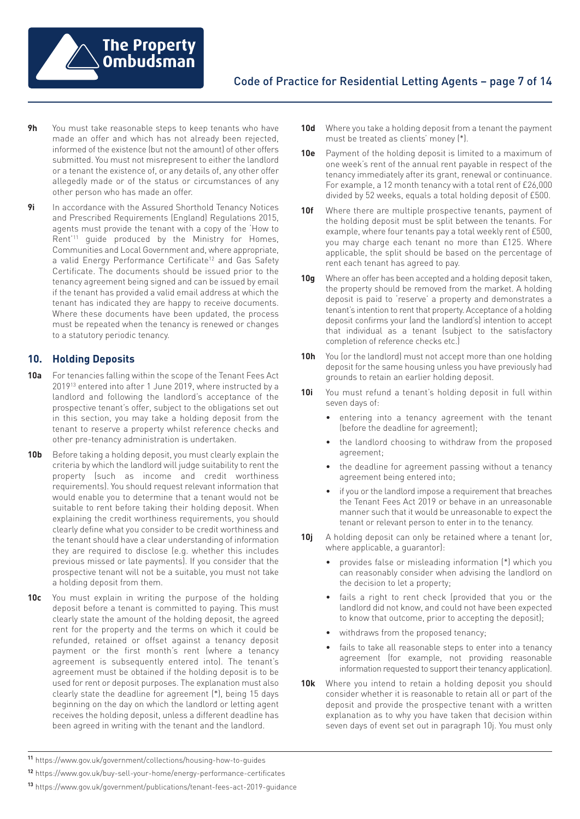

- **9h** You must take reasonable steps to keep tenants who have made an offer and which has not already been rejected, informed of the existence (but not the amount) of other offers submitted. You must not misrepresent to either the landlord or a tenant the existence of, or any details of, any other offer allegedly made or of the status or circumstances of any other person who has made an offer.
- **9i** In accordance with the Assured Shorthold Tenancy Notices and Prescribed Requirements (England) Regulations 2015, agents must provide the tenant with a copy of the 'How to Rent' <sup>11</sup> guide produced by the Ministry for Homes, Communities and Local Government and, where appropriate, a valid Energy Performance Certificate<sup>12</sup> and Gas Safety Certificate. The documents should be issued prior to the tenancy agreement being signed and can be issued by email if the tenant has provided a valid email address at which the tenant has indicated they are happy to receive documents. Where these documents have been updated, the process must be repeated when the tenancy is renewed or changes to a statutory periodic tenancy.

# **10. Holding Deposits**

- **10a** For tenancies falling within the scope of the Tenant Fees Act 201913 entered into after 1 June 2019, where instructed by a landlord and following the landlord's acceptance of the prospective tenant's offer, subject to the obligations set out in this section, you may take a holding deposit from the tenant to reserve a property whilst reference checks and other pre-tenancy administration is undertaken.
- **10b** Before taking a holding deposit, you must clearly explain the criteria by which the landlord will judge suitability to rent the property (such as income and credit worthiness requirements). You should request relevant information that would enable you to determine that a tenant would not be suitable to rent before taking their holding deposit. When explaining the credit worthiness requirements, you should clearly define what you consider to be credit worthiness and the tenant should have a clear understanding of information they are required to disclose (e.g. whether this includes previous missed or late payments). If you consider that the prospective tenant will not be a suitable, you must not take a holding deposit from them.
- **10c** You must explain in writing the purpose of the holding deposit before a tenant is committed to paying. This must clearly state the amount of the holding deposit, the agreed rent for the property and the terms on which it could be refunded, retained or offset against a tenancy deposit payment or the first month's rent (where a tenancy agreement is subsequently entered into). The tenant's agreement must be obtained if the holding deposit is to be used for rent or deposit purposes. The explanation must also clearly state the deadline for agreement (\*), being 15 days beginning on the day on which the landlord or letting agent receives the holding deposit, unless a different deadline has been agreed in writing with the tenant and the landlord.
- **10d** Where you take a holding deposit from a tenant the payment must be treated as clients' money (\*).
- **10e** Payment of the holding deposit is limited to a maximum of one week's rent of the annual rent payable in respect of the tenancy immediately after its grant, renewal or continuance. For example, a 12 month tenancy with a total rent of £26,000 divided by 52 weeks, equals a total holding deposit of £500.
- **10f** Where there are multiple prospective tenants, payment of the holding deposit must be split between the tenants. For example, where four tenants pay a total weekly rent of £500, you may charge each tenant no more than £125. Where applicable, the split should be based on the percentage of rent each tenant has agreed to pay.
- **10g** Where an offer has been accepted and a holding deposit taken, the property should be removed from the market. A holding deposit is paid to 'reserve' a property and demonstrates a tenant's intention to rent that property. Acceptance of a holding deposit confirms your (and the landlord's) intention to accept that individual as a tenant (subject to the satisfactory completion of reference checks etc.)
- **10h** You (or the landlord) must not accept more than one holding deposit for the same housing unless you have previously had grounds to retain an earlier holding deposit.
- **10i** You must refund a tenant's holding deposit in full within seven days of:
	- entering into a tenancy agreement with the tenant (before the deadline for agreement);
	- the landlord choosing to withdraw from the proposed agreement;
	- the deadline for agreement passing without a tenancy agreement being entered into;
	- if you or the landlord impose a requirement that breaches the Tenant Fees Act 2019 or behave in an unreasonable manner such that it would be unreasonable to expect the tenant or relevant person to enter in to the tenancy.
- **10j** A holding deposit can only be retained where a tenant (or, where applicable, a guarantor):
	- provides false or misleading information (\*) which you can reasonably consider when advising the landlord on the decision to let a property;
	- fails a right to rent check (provided that you or the landlord did not know, and could not have been expected to know that outcome, prior to accepting the deposit);
	- withdraws from the proposed tenancy;
	- fails to take all reasonable steps to enter into a tenancy agreement (for example, not providing reasonable information requested to support their tenancy application).
- **10k** Where you intend to retain a holding deposit you should consider whether it is reasonable to retain all or part of the deposit and provide the prospective tenant with a written explanation as to why you have taken that decision within seven days of event set out in paragraph 10j. You must only

**<sup>11</sup>** [https://www.gov.uk/government/collections/housing-how-to-guides](https://www.gov.uk/government/publications/the-private-rented-property-minimum-standard-landlord-guidance-documents)

**<sup>12</sup>** <https://www.gov.uk/buy-sell-your-home/energy-performance-certificates>

**<sup>13</sup>** <https://www.gov.uk/government/publications/tenant-fees-act-2019-guidance>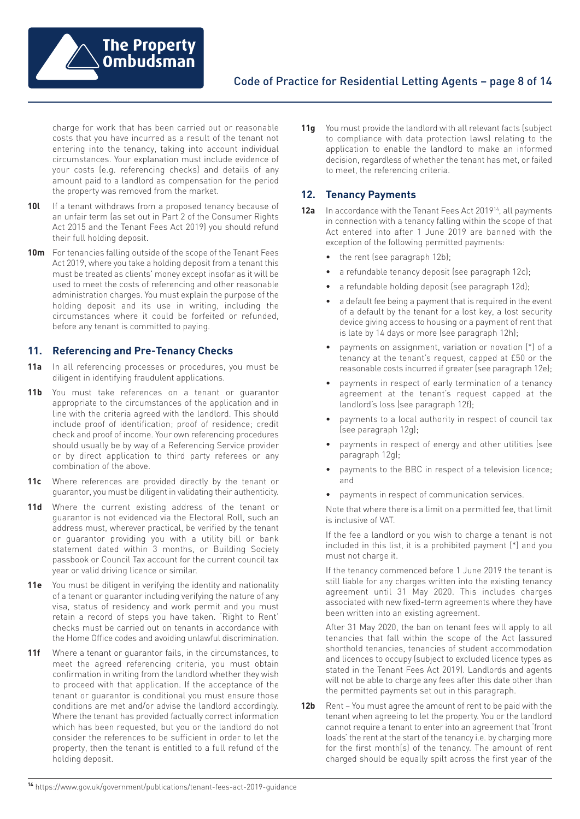

charge for work that has been carried out or reasonable costs that you have incurred as a result of the tenant not entering into the tenancy, taking into account individual circumstances. Your explanation must include evidence of your costs (e.g. referencing checks) and details of any amount paid to a landlord as compensation for the period the property was removed from the market.

- 10l If a tenant withdraws from a proposed tenancy because of an unfair term (as set out in Part 2 of the Consumer Rights Act 2015 and the Tenant Fees Act 2019) you should refund their full holding deposit.
- **10m** For tenancies falling outside of the scope of the Tenant Fees Act 2019, where you take a holding deposit from a tenant this must be treated as clients' money except insofar as it will be used to meet the costs of referencing and other reasonable administration charges. You must explain the purpose of the holding deposit and its use in writing, including the circumstances where it could be forfeited or refunded, before any tenant is committed to paying.

## **11. Referencing and Pre-Tenancy Checks**

- **11a** In all referencing processes or procedures, you must be diligent in identifying fraudulent applications.
- **11b** You must take references on a tenant or guarantor appropriate to the circumstances of the application and in line with the criteria agreed with the landlord. This should include proof of identification; proof of residence; credit check and proof of income. Your own referencing procedures should usually be by way of a Referencing Service provider or by direct application to third party referees or any combination of the above.
- **11c** Where references are provided directly by the tenant or guarantor, you must be diligent in validating their authenticity.
- **11d** Where the current existing address of the tenant or guarantor is not evidenced via the Electoral Roll, such an address must, wherever practical, be verified by the tenant or guarantor providing you with a utility bill or bank statement dated within 3 months, or Building Society passbook or Council Tax account for the current council tax year or valid driving licence or similar.
- 11e You must be diligent in verifying the identity and nationality of a tenant or guarantor including verifying the nature of any visa, status of residency and work permit and you must retain a record of steps you have taken. 'Right to Rent' checks must be carried out on tenants in accordance with the Home Office codes and avoiding unlawful discrimination.
- **11f** Where a tenant or guarantor fails, in the circumstances, to meet the agreed referencing criteria, you must obtain confirmation in writing from the landlord whether they wish to proceed with that application. If the acceptance of the tenant or guarantor is conditional you must ensure those conditions are met and/or advise the landlord accordingly. Where the tenant has provided factually correct information which has been requested, but you or the landlord do not consider the references to be sufficient in order to let the property, then the tenant is entitled to a full refund of the holding deposit.

**11g** You must provide the landlord with all relevant facts (subject to compliance with data protection laws) relating to the application to enable the landlord to make an informed decision, regardless of whether the tenant has met, or failed to meet, the referencing criteria.

## **12. Tenancy Payments**

- **12a** In accordance with the Tenant Fees Act 201914, all payments in connection with a tenancy falling within the scope of that Act entered into after 1 June 2019 are banned with the exception of the following permitted payments:
	- the rent (see paragraph 12b);
	- a refundable tenancy deposit (see paragraph 12c);
	- a refundable holding deposit (see paragraph 12d);
	- a default fee being a payment that is required in the event of a default by the tenant for a lost key, a lost security device giving access to housing or a payment of rent that is late by 14 days or more (see paragraph 12h);
	- payments on assignment, variation or novation (\*) of a tenancy at the tenant's request, capped at £50 or the reasonable costs incurred if greater (see paragraph 12e);
	- payments in respect of early termination of a tenancy agreement at the tenant's request capped at the landlord's loss (see paragraph 12f);
	- payments to a local authority in respect of council tax (see paragraph 12g);
	- payments in respect of energy and other utilities (see paragraph 12g);
	- payments to the BBC in respect of a television licence; and
	- payments in respect of communication services.

Note that where there is a limit on a permitted fee, that limit is inclusive of VAT.

If the fee a landlord or you wish to charge a tenant is not included in this list, it is a prohibited payment (\*) and you must not charge it.

If the tenancy commenced before 1 June 2019 the tenant is still liable for any charges written into the existing tenancy agreement until 31 May 2020. This includes charges associated with new fixed-term agreements where they have been written into an existing agreement.

After 31 May 2020, the ban on tenant fees will apply to all tenancies that fall within the scope of the Act (assured shorthold tenancies, tenancies of student accommodation and licences to occupy (subject to excluded licence types as stated in the Tenant Fees Act 2019). Landlords and agents will not be able to charge any fees after this date other than the permitted payments set out in this paragraph.

- **12b** Rent You must agree the amount of rent to be paid with the tenant when agreeing to let the property. You or the landlord cannot require a tenant to enter into an agreement that 'front loads' the rent at the start of the tenancy i.e. by charging more for the first month(s) of the tenancy. The amount of rent charged should be equally spilt across the first year of the
- **<sup>14</sup>** [https://www.gov.uk/government/publications/tenant-fees-act-2019-guidance](ttps://www.gov.uk/government/publications/tenant-fees-act-2019-guidance)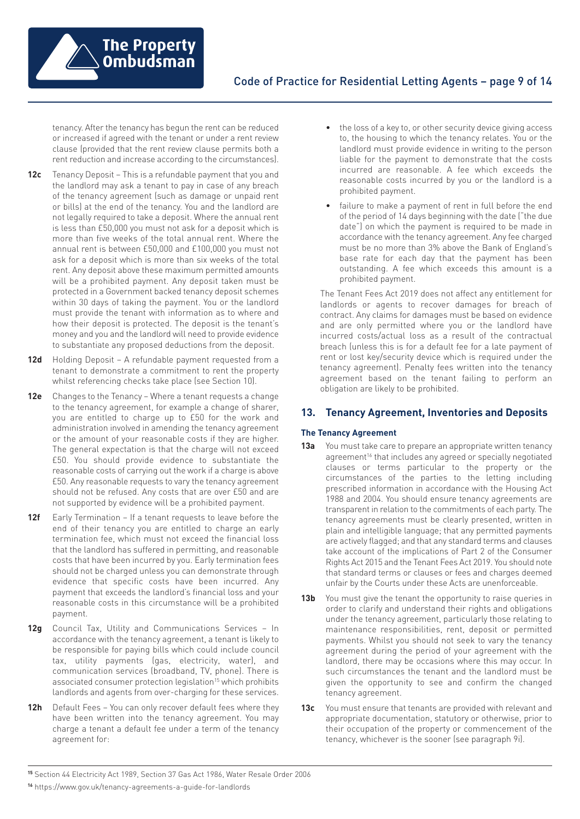

tenancy. After the tenancy has begun the rent can be reduced or increased if agreed with the tenant or under a rent review clause (provided that the rent review clause permits both a rent reduction and increase according to the circumstances).

- **12c** Tenancy Deposit This is a refundable payment that you and the landlord may ask a tenant to pay in case of any breach of the tenancy agreement (such as damage or unpaid rent or bills) at the end of the tenancy. You and the landlord are not legally required to take a deposit. Where the annual rent is less than £50,000 you must not ask for a deposit which is more than five weeks of the total annual rent. Where the annual rent is between £50,000 and £100,000 you must not ask for a deposit which is more than six weeks of the total rent. Any deposit above these maximum permitted amounts will be a prohibited payment. Any deposit taken must be protected in a Government backed tenancy deposit schemes within 30 days of taking the payment. You or the landlord must provide the tenant with information as to where and how their deposit is protected. The deposit is the tenant's money and you and the landlord will need to provide evidence to substantiate any proposed deductions from the deposit.
- **12d** Holding Deposit A refundable payment requested from a tenant to demonstrate a commitment to rent the property whilst referencing checks take place (see Section 10).
- **12e** Changes to the Tenancy Where a tenant requests a change to the tenancy agreement, for example a change of sharer, you are entitled to charge up to £50 for the work and administration involved in amending the tenancy agreement or the amount of your reasonable costs if they are higher. The general expectation is that the charge will not exceed £50. You should provide evidence to substantiate the reasonable costs of carrying out the work if a charge is above £50. Any reasonable requests to vary the tenancy agreement should not be refused. Any costs that are over £50 and are not supported by evidence will be a prohibited payment.
- **12f** Early Termination If a tenant requests to leave before the end of their tenancy you are entitled to charge an early termination fee, which must not exceed the financial loss that the landlord has suffered in permitting, and reasonable costs that have been incurred by you. Early termination fees should not be charged unless you can demonstrate through evidence that specific costs have been incurred. Any payment that exceeds the landlord's financial loss and your reasonable costs in this circumstance will be a prohibited payment.
- **12g** Council Tax, Utility and Communications Services In accordance with the tenancy agreement, a tenant is likely to be responsible for paying bills which could include council tax, utility payments (gas, electricity, water), and communication services (broadband, TV, phone). There is associated consumer protection legislation<sup>15</sup> which prohibits landlords and agents from over-charging for these services.
- **12h** Default Fees You can only recover default fees where they have been written into the tenancy agreement. You may charge a tenant a default fee under a term of the tenancy agreement for:
- the loss of a key to, or other security device giving access to, the housing to which the tenancy relates. You or the landlord must provide evidence in writing to the person liable for the payment to demonstrate that the costs incurred are reasonable. A fee which exceeds the reasonable costs incurred by you or the landlord is a prohibited payment.
- failure to make a payment of rent in full before the end of the period of 14 days beginning with the date ("the due date") on which the payment is required to be made in accordance with the tenancy agreement. Any fee charged must be no more than 3% above the Bank of England's base rate for each day that the payment has been outstanding. A fee which exceeds this amount is a prohibited payment.

The Tenant Fees Act 2019 does not affect any entitlement for landlords or agents to recover damages for breach of contract. Any claims for damages must be based on evidence and are only permitted where you or the landlord have incurred costs/actual loss as a result of the contractual breach (unless this is for a default fee for a late payment of rent or lost key/security device which is required under the tenancy agreement). Penalty fees written into the tenancy agreement based on the tenant failing to perform an obligation are likely to be prohibited.

# **13. Tenancy Agreement, Inventories and Deposits**

## **The Tenancy Agreement**

- **13a** You must take care to prepare an appropriate written tenancy agreement<sup>16</sup> that includes any agreed or specially negotiated clauses or terms particular to the property or the circumstances of the parties to the letting including prescribed information in accordance with the Housing Act 1988 and 2004. You should ensure tenancy agreements are transparent in relation to the commitments of each party. The tenancy agreements must be clearly presented, written in plain and intelligible language; that any permitted payments are actively flagged; and that any standard terms and clauses take account of the implications of Part 2 of the Consumer Rights Act 2015 and the Tenant Fees Act 2019. You should note that standard terms or clauses or fees and charges deemed unfair by the Courts under these Acts are unenforceable.
- **13b** You must give the tenant the opportunity to raise queries in order to clarify and understand their rights and obligations under the tenancy agreement, particularly those relating to maintenance responsibilities, rent, deposit or permitted payments. Whilst you should not seek to vary the tenancy agreement during the period of your agreement with the landlord, there may be occasions where this may occur. In such circumstances the tenant and the landlord must be given the opportunity to see and confirm the changed tenancy agreement.
- **13c** You must ensure that tenants are provided with relevant and appropriate documentation, statutory or otherwise, prior to their occupation of the property or commencement of the tenancy, whichever is the sooner (see paragraph 9i).

**<sup>15</sup>** Section 44 Electricity Act 1989, Section 37 Gas Act 1986, Water Resale Order 2006

**<sup>16</sup>** <https://www.gov.uk/tenancy-agreements-a-guide-for-landlords>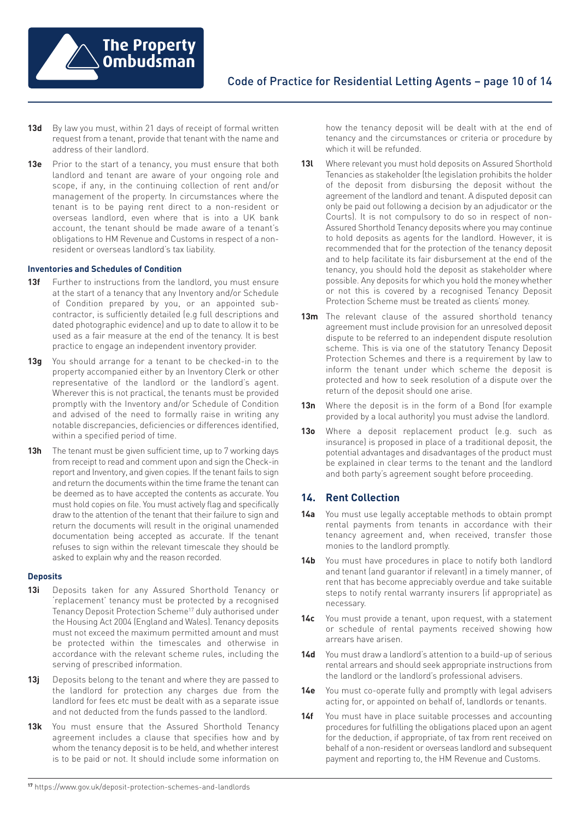

- **13d** By law you must, within 21 days of receipt of formal written request from a tenant, provide that tenant with the name and address of their landlord.
- **13e** Prior to the start of a tenancy, you must ensure that both landlord and tenant are aware of your ongoing role and scope, if any, in the continuing collection of rent and/or management of the property. In circumstances where the tenant is to be paying rent direct to a non-resident or overseas landlord, even where that is into a UK bank account, the tenant should be made aware of a tenant's obligations to HM Revenue and Customs in respect of a nonresident or overseas landlord's tax liability.

#### **Inventories and Schedules of Condition**

- **13f** Further to instructions from the landlord, you must ensure at the start of a tenancy that any Inventory and/or Schedule of Condition prepared by you, or an appointed subcontractor, is sufficiently detailed (e.g full descriptions and dated photographic evidence) and up to date to allow it to be used as a fair measure at the end of the tenancy. It is best practice to engage an independent inventory provider.
- **13g** You should arrange for a tenant to be checked-in to the property accompanied either by an Inventory Clerk or other representative of the landlord or the landlord's agent. Wherever this is not practical, the tenants must be provided promptly with the Inventory and/or Schedule of Condition and advised of the need to formally raise in writing any notable discrepancies, deficiencies or differences identified, within a specified period of time.
- 13h The tenant must be given sufficient time, up to 7 working days from receipt to read and comment upon and sign the Check-in report and Inventory, and given copies. If the tenant fails to sign and return the documents within the time frame the tenant can be deemed as to have accepted the contents as accurate. You must hold copies on file. You must actively flag and specifically draw to the attention of the tenant that their failure to sign and return the documents will result in the original unamended documentation being accepted as accurate. If the tenant refuses to sign within the relevant timescale they should be asked to explain why and the reason recorded.

#### **Deposits**

- **13i** Deposits taken for any Assured Shorthold Tenancy or 'replacement' tenancy must be protected by a recognised Tenancy Deposit Protection Scheme17 duly authorised under the Housing Act 2004 (England and Wales). Tenancy deposits must not exceed the maximum permitted amount and must be protected within the timescales and otherwise in accordance with the relevant scheme rules, including the serving of prescribed information.
- **13j** Deposits belong to the tenant and where they are passed to the landlord for protection any charges due from the landlord for fees etc must be dealt with as a separate issue and not deducted from the funds passed to the landlord.
- 13k You must ensure that the Assured Shorthold Tenancy agreement includes a clause that specifies how and by whom the tenancy deposit is to be held, and whether interest is to be paid or not. It should include some information on

how the tenancy deposit will be dealt with at the end of tenancy and the circumstances or criteria or procedure by which it will be refunded.

- **13l** Where relevant you must hold deposits on Assured Shorthold Tenancies as stakeholder (the legislation prohibits the holder of the deposit from disbursing the deposit without the agreement of the landlord and tenant. A disputed deposit can only be paid out following a decision by an adjudicator or the Courts). It is not compulsory to do so in respect of non-Assured Shorthold Tenancy deposits where you may continue to hold deposits as agents for the landlord. However, it is recommended that for the protection of the tenancy deposit and to help facilitate its fair disbursement at the end of the tenancy, you should hold the deposit as stakeholder where possible. Any deposits for which you hold the money whether or not this is covered by a recognised Tenancy Deposit Protection Scheme must be treated as clients' money.
- **13m** The relevant clause of the assured shorthold tenancy agreement must include provision for an unresolved deposit dispute to be referred to an independent dispute resolution scheme. This is via one of the statutory Tenancy Deposit Protection Schemes and there is a requirement by law to inform the tenant under which scheme the deposit is protected and how to seek resolution of a dispute over the return of the deposit should one arise.
- **13n** Where the deposit is in the form of a Bond (for example provided by a local authority) you must advise the landlord.
- **13o** Where a deposit replacement product (e.g. such as insurance) is proposed in place of a traditional deposit, the potential advantages and disadvantages of the product must be explained in clear terms to the tenant and the landlord and both party's agreement sought before proceeding.

# **14. Rent Collection**

- **14a** You must use legally acceptable methods to obtain prompt rental payments from tenants in accordance with their tenancy agreement and, when received, transfer those monies to the landlord promptly.
- **14b** You must have procedures in place to notify both landlord and tenant (and guarantor if relevant) in a timely manner, of rent that has become appreciably overdue and take suitable steps to notify rental warranty insurers (if appropriate) as necessary.
- **14c** You must provide a tenant, upon request, with a statement or schedule of rental payments received showing how arrears have arisen.
- **14d** You must draw a landlord's attention to a build-up of serious rental arrears and should seek appropriate instructions from the landlord or the landlord's professional advisers.
- **14e** You must co-operate fully and promptly with legal advisers acting for, or appointed on behalf of, landlords or tenants.
- 14f You must have in place suitable processes and accounting procedures for fulfilling the obligations placed upon an agent for the deduction, if appropriate, of tax from rent received on behalf of a non-resident or overseas landlord and subsequent payment and reporting to, the HM Revenue and Customs.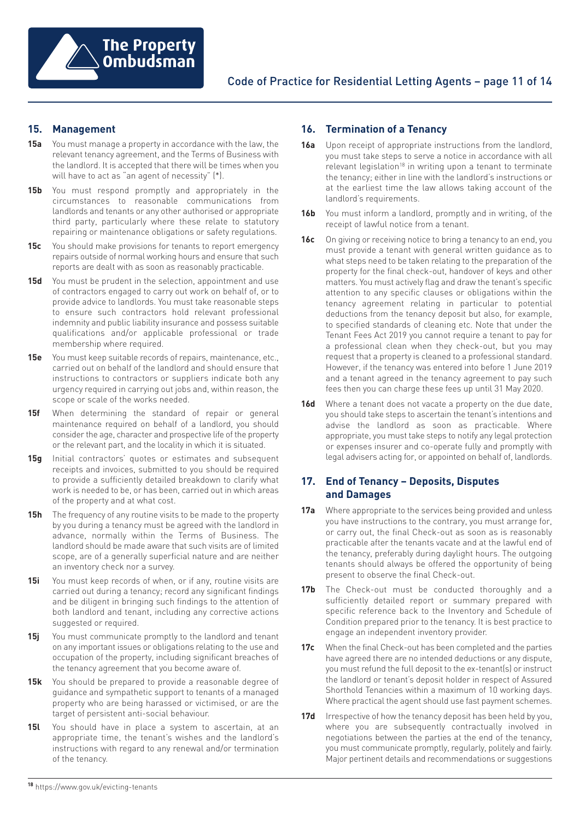

# **15. Management**

- **15a** You must manage a property in accordance with the law, the relevant tenancy agreement, and the Terms of Business with the landlord. It is accepted that there will be times when you will have to act as "an agent of necessity" (\*).
- **15b** You must respond promptly and appropriately in the circumstances to reasonable communications from landlords and tenants or any other authorised or appropriate third party, particularly where these relate to statutory repairing or maintenance obligations or safety regulations.
- **15c** You should make provisions for tenants to report emergency repairs outside of normal working hours and ensure that such reports are dealt with as soon as reasonably practicable.
- **15d** You must be prudent in the selection, appointment and use of contractors engaged to carry out work on behalf of, or to provide advice to landlords. You must take reasonable steps to ensure such contractors hold relevant professional indemnity and public liability insurance and possess suitable qualifications and/or applicable professional or trade membership where required.
- **15e** You must keep suitable records of repairs, maintenance, etc., carried out on behalf of the landlord and should ensure that instructions to contractors or suppliers indicate both any urgency required in carrying out jobs and, within reason, the scope or scale of the works needed.
- **15f** When determining the standard of repair or general maintenance required on behalf of a landlord, you should consider the age, character and prospective life of the property or the relevant part, and the locality in which it is situated.
- **15g** Initial contractors' quotes or estimates and subsequent receipts and invoices, submitted to you should be required to provide a sufficiently detailed breakdown to clarify what work is needed to be, or has been, carried out in which areas of the property and at what cost.
- **15h** The frequency of any routine visits to be made to the property by you during a tenancy must be agreed with the landlord in advance, normally within the Terms of Business. The landlord should be made aware that such visits are of limited scope, are of a generally superficial nature and are neither an inventory check nor a survey.
- **15i** You must keep records of when, or if any, routine visits are carried out during a tenancy; record any significant findings and be diligent in bringing such findings to the attention of both landlord and tenant, including any corrective actions suggested or required.
- **15j** You must communicate promptly to the landlord and tenant on any important issues or obligations relating to the use and occupation of the property, including significant breaches of the tenancy agreement that you become aware of.
- **15k** You should be prepared to provide a reasonable degree of guidance and sympathetic support to tenants of a managed property who are being harassed or victimised, or are the target of persistent anti-social behaviour.
- **15l** You should have in place a system to ascertain, at an appropriate time, the tenant's wishes and the landlord's instructions with regard to any renewal and/or termination of the tenancy.

# **16. Termination of a Tenancy**

- **16a** Upon receipt of appropriate instructions from the landlord, you must take steps to serve a notice in accordance with all relevant legislation<sup>18</sup> in writing upon a tenant to terminate the tenancy; either in line with the landlord's instructions or at the earliest time the law allows taking account of the landlord's requirements.
- **16b** You must inform a landlord, promptly and in writing, of the receipt of lawful notice from a tenant.
- **16c** On giving or receiving notice to bring a tenancy to an end, you must provide a tenant with general written guidance as to what steps need to be taken relating to the preparation of the property for the final check-out, handover of keys and other matters. You must actively flag and draw the tenant's specific attention to any specific clauses or obligations within the tenancy agreement relating in particular to potential deductions from the tenancy deposit but also, for example, to specified standards of cleaning etc. Note that under the Tenant Fees Act 2019 you cannot require a tenant to pay for a professional clean when they check-out, but you may request that a property is cleaned to a professional standard. However, if the tenancy was entered into before 1 June 2019 and a tenant agreed in the tenancy agreement to pay such fees then you can charge these fees up until 31 May 2020.
- **16d** Where a tenant does not vacate a property on the due date, you should take steps to ascertain the tenant's intentions and advise the landlord as soon as practicable. Where appropriate, you must take steps to notify any legal protection or expenses insurer and co-operate fully and promptly with legal advisers acting for, or appointed on behalf of, landlords.

## **17. End of Tenancy – Deposits, Disputes and Damages**

- **17a** Where appropriate to the services being provided and unless you have instructions to the contrary, you must arrange for, or carry out, the final Check-out as soon as is reasonably practicable after the tenants vacate and at the lawful end of the tenancy, preferably during daylight hours. The outgoing tenants should always be offered the opportunity of being present to observe the final Check-out.
- **17b** The Check-out must be conducted thoroughly and a sufficiently detailed report or summary prepared with specific reference back to the Inventory and Schedule of Condition prepared prior to the tenancy. It is best practice to engage an independent inventory provider.
- **17c** When the final Check-out has been completed and the parties have agreed there are no intended deductions or any dispute, you must refund the full deposit to the ex-tenant(s) or instruct the landlord or tenant's deposit holder in respect of Assured Shorthold Tenancies within a maximum of 10 working days. Where practical the agent should use fast payment schemes.
- **17d** Irrespective of how the tenancy deposit has been held by you, where you are subsequently contractually involved in negotiations between the parties at the end of the tenancy, you must communicate promptly, regularly, politely and fairly. Major pertinent details and recommendations or suggestions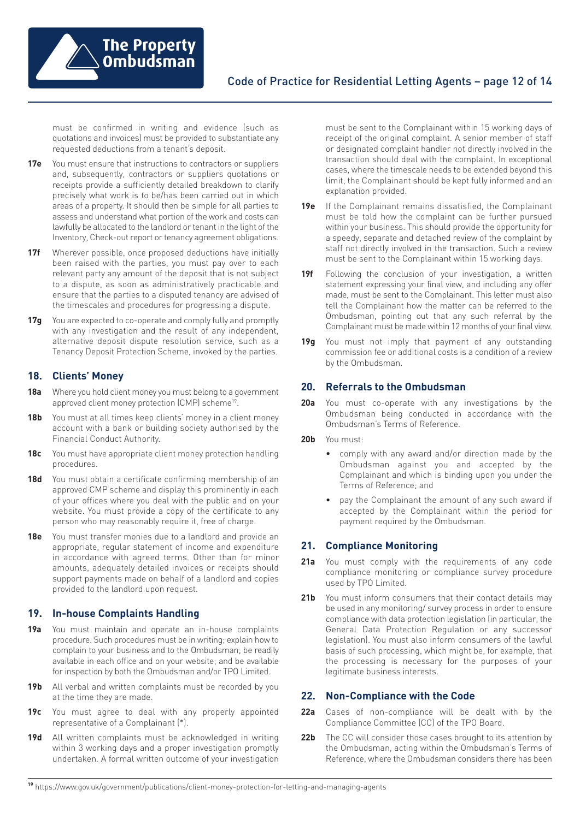

must be confirmed in writing and evidence (such as quotations and invoices) must be provided to substantiate any requested deductions from a tenant's deposit.

- **17e** You must ensure that instructions to contractors or suppliers and, subsequently, contractors or suppliers quotations or receipts provide a sufficiently detailed breakdown to clarify precisely what work is to be/has been carried out in which areas of a property. It should then be simple for all parties to assess and understand what portion of the work and costs can lawfully be allocated to the landlord or tenant in the light of the Inventory, Check-out report or tenancy agreement obligations.
- **17f** Wherever possible, once proposed deductions have initially been raised with the parties, you must pay over to each relevant party any amount of the deposit that is not subject to a dispute, as soon as administratively practicable and ensure that the parties to a disputed tenancy are advised of the timescales and procedures for progressing a dispute.
- **17g** You are expected to co-operate and comply fully and promptly with any investigation and the result of any independent, alternative deposit dispute resolution service, such as a Tenancy Deposit Protection Scheme, invoked by the parties.

# **18. Clients' Money**

- **18a** Where you hold client money you must belong to a government approved client money protection (CMP) scheme<sup>19</sup>.
- **18b** You must at all times keep clients' money in a client money account with a bank or building society authorised by the Financial Conduct Authority.
- **18c** You must have appropriate client money protection handling procedures.
- **18d** You must obtain a certificate confirming membership of an approved CMP scheme and display this prominently in each of your offices where you deal with the public and on your website. You must provide a copy of the certificate to any person who may reasonably require it, free of charge.
- **18e** You must transfer monies due to a landlord and provide an appropriate, regular statement of income and expenditure in accordance with agreed terms. Other than for minor amounts, adequately detailed invoices or receipts should support payments made on behalf of a landlord and copies provided to the landlord upon request.

## **19. In-house Complaints Handling**

- **19a** You must maintain and operate an in-house complaints procedure. Such procedures must be in writing; explain how to complain to your business and to the Ombudsman; be readily available in each office and on your website; and be available for inspection by both the Ombudsman and/or TPO Limited.
- 19b All verbal and written complaints must be recorded by you at the time they are made.
- **19c** You must agree to deal with any properly appointed representative of a Complainant (\*).
- **19d** All written complaints must be acknowledged in writing within 3 working days and a proper investigation promptly undertaken. A formal written outcome of your investigation

must be sent to the Complainant within 15 working days of receipt of the original complaint. A senior member of staff or designated complaint handler not directly involved in the transaction should deal with the complaint. In exceptional cases, where the timescale needs to be extended beyond this limit, the Complainant should be kept fully informed and an explanation provided.

- **19e** If the Complainant remains dissatisfied, the Complainant must be told how the complaint can be further pursued within your business. This should provide the opportunity for a speedy, separate and detached review of the complaint by staff not directly involved in the transaction. Such a review must be sent to the Complainant within 15 working days.
- 19f Following the conclusion of your investigation, a written statement expressing your final view, and including any offer made, must be sent to the Complainant. This letter must also tell the Complainant how the matter can be referred to the Ombudsman, pointing out that any such referral by the Complainant must be made within 12 months of your final view.
- **19g** You must not imply that payment of any outstanding commission fee or additional costs is a condition of a review by the Ombudsman.

## **20. Referrals to the Ombudsman**

- **20a** You must co-operate with any investigations by the Ombudsman being conducted in accordance with the Ombudsman's Terms of Reference.
- **20b** You must:
	- comply with any award and/or direction made by the Ombudsman against you and accepted by the Complainant and which is binding upon you under the Terms of Reference; and
	- pay the Complainant the amount of any such award if accepted by the Complainant within the period for payment required by the Ombudsman.

## **21. Compliance Monitoring**

- **21a** You must comply with the requirements of any code compliance monitoring or compliance survey procedure used by TPO Limited.
- **21b** You must inform consumers that their contact details may be used in any monitoring/ survey process in order to ensure compliance with data protection legislation (in particular, the General Data Protection Regulation or any successor legislation). You must also inform consumers of the lawful basis of such processing, which might be, for example, that the processing is necessary for the purposes of your legitimate business interests.

## **22. Non-Compliance with the Code**

- **22a** Cases of non-compliance will be dealt with by the Compliance Committee (CC) of the TPO Board.
- 22b The CC will consider those cases brought to its attention by the Ombudsman, acting within the Ombudsman's Terms of Reference, where the Ombudsman considers there has been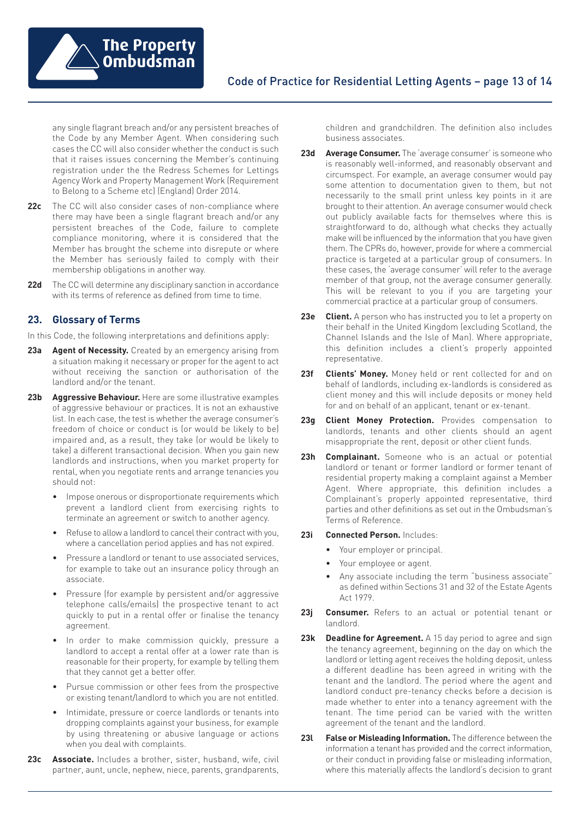

any single flagrant breach and/or any persistent breaches of the Code by any Member Agent. When considering such cases the CC will also consider whether the conduct is such that it raises issues concerning the Member's continuing registration under the the Redress Schemes for Lettings Agency Work and Property Management Work (Requirement to Belong to a Scheme etc) (England) Order 2014.

- **22c** The CC will also consider cases of non-compliance where there may have been a single flagrant breach and/or any persistent breaches of the Code, failure to complete compliance monitoring, where it is considered that the Member has brought the scheme into disrepute or where the Member has seriously failed to comply with their membership obligations in another way.
- **22d** The CC will determine any disciplinary sanction in accordance with its terms of reference as defined from time to time.

# **23. Glossary of Terms**

In this Code, the following interpretations and definitions apply:

- **23a Agent of Necessity.** Created by an emergency arising from a situation making it necessary or proper for the agent to act without receiving the sanction or authorisation of the landlord and/or the tenant.
- **23b Aggressive Behaviour.** Here are some illustrative examples of aggressive behaviour or practices. It is not an exhaustive list. In each case, the test is whether the average consumer's freedom of choice or conduct is (or would be likely to be) impaired and, as a result, they take (or would be likely to take) a different transactional decision. When you gain new landlords and instructions, when you market property for rental, when you negotiate rents and arrange tenancies you should not:
	- Impose onerous or disproportionate requirements which prevent a landlord client from exercising rights to terminate an agreement or switch to another agency.
	- Refuse to allow a landlord to cancel their contract with you, where a cancellation period applies and has not expired.
	- Pressure a landlord or tenant to use associated services, for example to take out an insurance policy through an associate.
	- Pressure (for example by persistent and/or aggressive telephone calls/emails) the prospective tenant to act quickly to put in a rental offer or finalise the tenancy agreement.
	- In order to make commission quickly, pressure a landlord to accept a rental offer at a lower rate than is reasonable for their property, for example by telling them that they cannot get a better offer.
	- Pursue commission or other fees from the prospective or existing tenant/landlord to which you are not entitled.
	- Intimidate, pressure or coerce landlords or tenants into dropping complaints against your business, for example by using threatening or abusive language or actions when you deal with complaints.
- **23c Associate.** Includes a brother, sister, husband, wife, civil partner, aunt, uncle, nephew, niece, parents, grandparents,

children and grandchildren. The definition also includes business associates.

- **23d Average Consumer.** The 'average consumer' is someone who is reasonably well-informed, and reasonably observant and circumspect. For example, an average consumer would pay some attention to documentation given to them, but not necessarily to the small print unless key points in it are brought to their attention. An average consumer would check out publicly available facts for themselves where this is straightforward to do, although what checks they actually make will be influenced by the information that you have given them. The CPRs do, however, provide for where a commercial practice is targeted at a particular group of consumers. In these cases, the 'average consumer' will refer to the average member of that group, not the average consumer generally. This will be relevant to you if you are targeting your commercial practice at a particular group of consumers.
- **23e Client.** A person who has instructed you to let a property on their behalf in the United Kingdom (excluding Scotland, the Channel Islands and the Isle of Man). Where appropriate, this definition includes a client's properly appointed representative.
- **23f Clients' Money.** Money held or rent collected for and on behalf of landlords, including ex-landlords is considered as client money and this will include deposits or money held for and on behalf of an applicant, tenant or ex-tenant.
- **23g Client Money Protection.** Provides compensation to landlords, tenants and other clients should an agent misappropriate the rent, deposit or other client funds.
- **23h Complainant.** Someone who is an actual or potential landlord or tenant or former landlord or former tenant of residential property making a complaint against a Member Agent. Where appropriate, this definition includes a Complainant's properly appointed representative, third parties and other definitions as set out in the Ombudsman's .<br>Terms of Reference
- **23i Connected Person.** Includes:
	- Your employer or principal.
	- Your employee or agent.
	- Any associate including the term "business associate" as defined within Sections 31 and 32 of the Estate Agents Act 1979.
- **23j Consumer.** Refers to an actual or potential tenant or landlord.
- **23k Deadline for Agreement.** A 15 day period to agree and sign the tenancy agreement, beginning on the day on which the landlord or letting agent receives the holding deposit, unless a different deadline has been agreed in writing with the tenant and the landlord. The period where the agent and landlord conduct pre-tenancy checks before a decision is made whether to enter into a tenancy agreement with the tenant. The time period can be varied with the written agreement of the tenant and the landlord.
- **23l False or Misleading Information.** The difference between the information a tenant has provided and the correct information, or their conduct in providing false or misleading information, where this materially affects the landlord's decision to grant